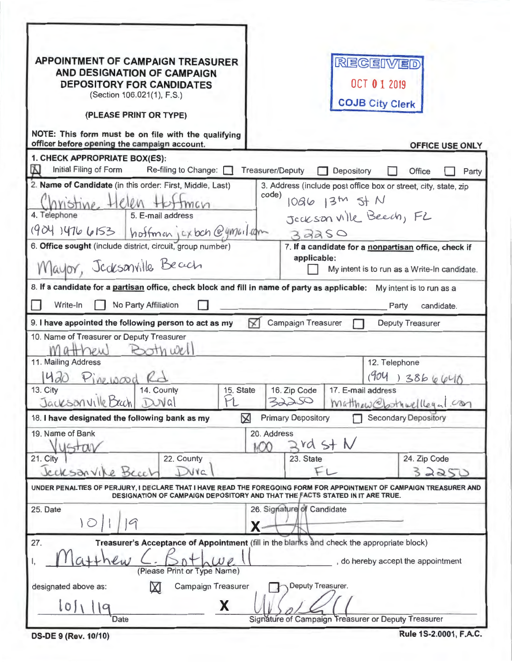| <b>APPOINTMENT OF CAMPAIGN TREASURER</b><br><b>AND DESIGNATION OF CAMPAIGN</b><br><b>DEPOSITORY FOR CANDIDATES</b><br>(Section 106.021(1), F.S.)<br>(PLEASE PRINT OR TYPE)                                          | RECEIVED<br><b>OCT 0 1 2019</b><br><b>COJB City Clerk</b>                                                                                                                                           |
|---------------------------------------------------------------------------------------------------------------------------------------------------------------------------------------------------------------------|-----------------------------------------------------------------------------------------------------------------------------------------------------------------------------------------------------|
| NOTE: This form must be on file with the qualifying<br>officer before opening the campaign account.                                                                                                                 | <b>OFFICE USE ONLY</b>                                                                                                                                                                              |
| 1. CHECK APPROPRIATE BOX(ES):<br><b>IXI</b><br>Initial Filing of Form<br>Re-filing to Change:                                                                                                                       | <b>Treasurer/Deputy</b><br>Depository<br>Office<br>Party                                                                                                                                            |
| 2. Name of Candidate (in this order: First, Middle, Last)<br>vistine<br>mcn<br>4. Telephone<br>5. E-mail address<br>1904 1476 6153 hostman jaxban @gmail.com                                                        | 3. Address (include post office box or street, city, state, zip<br>code)<br>$1086$ $13^{14}$ $3+1$<br>Jackson ville Beech, FL<br>32250                                                              |
| 6. Office sought (include district, circuit, group number)<br>Mayor, Jedesanville Beach                                                                                                                             | 7. If a candidate for a nonpartisan office, check if<br>applicable:<br>My intent is to run as a Write-In candidate.                                                                                 |
| 8. If a candidate for a partisan office, check block and fill in name of party as applicable:<br>Write-In<br>No Party Affiliation                                                                                   | My intent is to run as a<br>candidate.<br>Party                                                                                                                                                     |
| 9. I have appointed the following person to act as my<br>10. Name of Treasurer or Deputy Treasurer<br>$t \wedge \omega_{e}$<br>11. Mailing Address<br>Mewood<br>14. County<br>13. City<br>Jackson Ville Beach Duval | Campaign Treasurer<br><b>Deputy Treasurer</b><br>⋉<br>12. Telephone<br>(904)38666410<br>16. Zip Code   17. E-mail address<br>15. State<br>FL<br>32250<br>Matthew Clothwellegal.com                  |
| 18. I have designated the following bank as my                                                                                                                                                                      | <b>Secondary Depository</b><br><b>Primary Depository</b><br>区                                                                                                                                       |
| 19. Name of Bank<br>22. County<br>21. City<br>JecksonVIX<br>DVYC                                                                                                                                                    | 20. Address<br>$\mathsf{rd}$ st $\mathsf{W}$<br>24. Zip Code<br>23. State<br>$\Gamma$<br>32250                                                                                                      |
|                                                                                                                                                                                                                     | UNDER PENALTIES OF PERJURY, I DECLARE THAT I HAVE READ THE FOREGOING FORM FOR APPOINTMENT OF CAMPAIGN TREASURER AND<br>DESIGNATION OF CAMPAIGN DEPOSITORY AND THAT THE FACTS STATED IN IT ARE TRUE. |
| 25. Date<br>$\circ$<br>$\sigma$<br>27.                                                                                                                                                                              | 26. Signature of Candidate<br>X.<br>Treasurer's Acceptance of Appointment (fill in the blanks and check the appropriate block)                                                                      |
| (Please Print or Type Name)                                                                                                                                                                                         | , do hereby accept the appointment                                                                                                                                                                  |
| Campaign Treasurer<br>designated above as:<br>$\bm{\mathsf{M}}$                                                                                                                                                     | Deputy Treasurer.                                                                                                                                                                                   |
| 10)1<br>Date                                                                                                                                                                                                        | X<br>Signature of Campaign Treasurer or Deputy Treasurer                                                                                                                                            |

| DS-DE 9 (Rev. 10/10) |  |  |
|----------------------|--|--|
|----------------------|--|--|

Rule 1S-2.0001, F.A.C.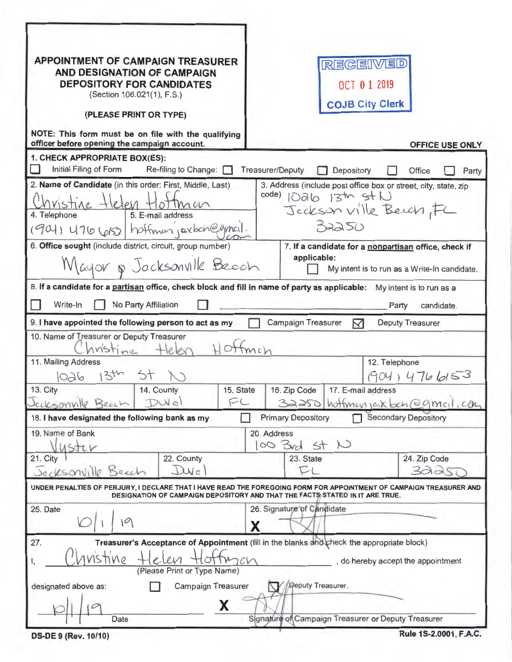| <b>APPOINTMENT OF CAMPAIGN TREASURER</b><br><b>AND DESIGNATION OF CAMPAIGN</b><br><b>DEPOSITORY FOR CANDIDATES</b><br>(Section 106.021(1), F.S.) | <b>REGEIVED</b><br><b>OCT 0 1 2019</b><br><b>COJB City Clerk</b>                                                                                                                                    |
|--------------------------------------------------------------------------------------------------------------------------------------------------|-----------------------------------------------------------------------------------------------------------------------------------------------------------------------------------------------------|
| (PLEASE PRINT OR TYPE)                                                                                                                           |                                                                                                                                                                                                     |
| NOTE: This form must be on file with the qualifying<br>officer before opening the campaign account.                                              | OFFICE USE ONLY                                                                                                                                                                                     |
| 1. CHECK APPROPRIATE BOX(ES):<br>Initial Filing of Form<br>$\mathsf{Re}\text{-}\mathsf{filling}$ to Change: $\Box$                               | <b>Treasurer/Deputy</b><br>Depository<br>Office<br>Party                                                                                                                                            |
| 2. Name of Candidate (in this order: First, Middle, Last)<br>man<br>5. E-mail address<br>4. Telephone<br>(904) 476 6/53 hoffman jaxbon@gmail.    | 3. Address (include post office box or street, city, state, zip<br>code) 1026 13th st N<br>Jeckson ville Beach, FL<br>32250                                                                         |
| 6. Office sought (include district, circuit, group number)<br>Mayor & Jacksonville Beach                                                         | 7. If a candidate for a nonpartisan office, check if<br>applicable:<br>My intent is to run as a Write-In candidate.                                                                                 |
| 8. If a candidate for a partisan office, check block and fill in name of party as applicable: My intent is to run as a                           |                                                                                                                                                                                                     |
| Write-In<br>No Party Affiliation                                                                                                                 | candidate.<br>Party                                                                                                                                                                                 |
| 9. I have appointed the following person to act as my                                                                                            | <b>Deputy Treasurer</b><br>Campaign Treasurer<br>M                                                                                                                                                  |
| 10. Name of Treasurer or Deputy Treasurer<br>hristing<br>lelen                                                                                   |                                                                                                                                                                                                     |
| 11. Mailing Address                                                                                                                              | 12. Telephone                                                                                                                                                                                       |
| $1344$ 5+<br>060                                                                                                                                 | (904)4766153                                                                                                                                                                                        |
| 14. County<br>13. City<br>15. State<br>FL<br>DWal<br>Jocksonville Beach                                                                          | 16. Zip Code   17. E-mail address<br>32250 hoffman jak ban @gmail.com                                                                                                                               |
| 18. I have designated the following bank as my                                                                                                   | <b>Secondary Depository</b><br><b>Primary Depository</b>                                                                                                                                            |
| 19. Name of Bank                                                                                                                                 | 20. Address<br>00 3rd st N                                                                                                                                                                          |
| USTEV<br>22. County<br>21. City                                                                                                                  | 24. Zip Code<br>23. State                                                                                                                                                                           |
| Dwcl<br>Jecksonville<br>Beech                                                                                                                    | 3225<br>U(                                                                                                                                                                                          |
|                                                                                                                                                  | UNDER PENALTIES OF PERJURY, I DECLARE THAT I HAVE READ THE FOREGOING FORM FOR APPOINTMENT OF CAMPAIGN TREASURER AND<br>DESIGNATION OF CAMPAIGN DEPOSITORY AND THAT THE FACTS STATED IN IT ARE TRUE. |
| 25. Date<br>19                                                                                                                                   | 26. Signature of Candidate<br>X                                                                                                                                                                     |
| 27.<br>vistine<br>ICV<br>(Please Print or Type Name)                                                                                             | Treasurer's Acceptance of Appointment (fill in the blanks and check the appropriate block)<br>, do hereby accept the appointment                                                                    |
| Campaign Treasurer<br>designated above as:                                                                                                       | Deputy Treasurer.                                                                                                                                                                                   |
| Χ<br>Date                                                                                                                                        | Signature of Campaign Treasurer or Deputy Treasurer                                                                                                                                                 |
| <b>DS-DE 9 (Rev. 10/10)</b>                                                                                                                      | Rule 1S-2.0001, F.A.C.                                                                                                                                                                              |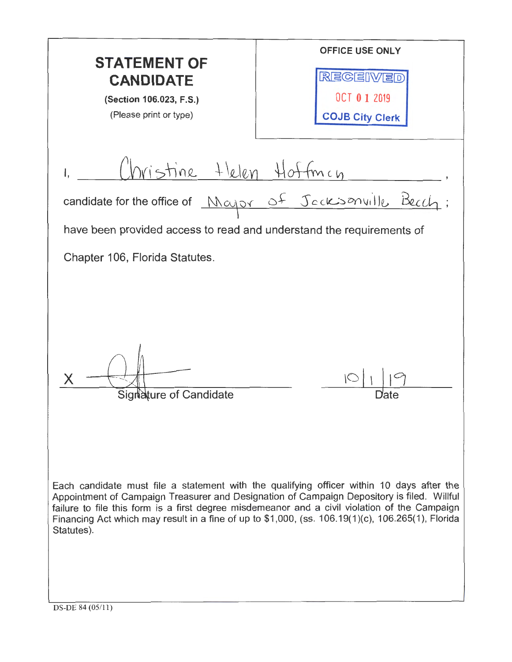OFFICE USE ONLY **STATEMENT OF REGEIWED CANDIDATE**  OCT 0 I 2019 (Section 106.023, F.S.) (Please print or type) COJB City Clerk Christine Helen Hoffman I, candidate for the office of <u>Mayor of Jacksonville Becch</u>;  $\overline{a}$ have been provided access to read and understand the requirements of Chapter 106, Florida Statutes.  $x - \bigoplus$ Signature of Candidate D'ate Each candidate must file a statement with the qualifying officer within 10 days after the Appointment of Campaign Treasurer and Designation of Campaign Depository is filed. Willful failure to file this form is a first degree misdemeanor and a civil violation of the Campaign Financing Act which may result in a fine of up to \$1 ,000, (ss. 106.19(1 )(c), 106.265(1 ), Florida Statutes).

DS-DE 84 (05/11)